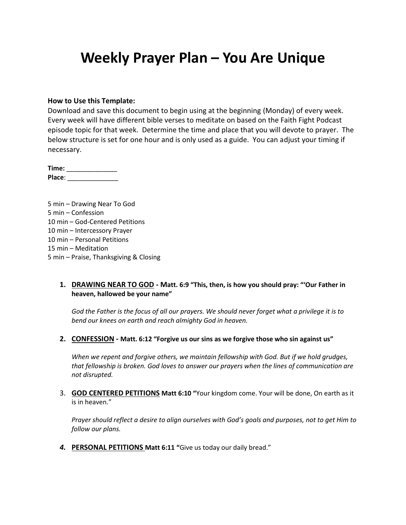# **Weekly Prayer Plan – You Are Unique**

#### **How to Use this Template:**

Download and save this document to begin using at the beginning (Monday) of every week. Every week will have different bible verses to meditate on based on the Faith Fight Podcast episode topic for that week. Determine the time and place that you will devote to prayer. The below structure is set for one hour and is only used as a guide. You can adjust your timing if necessary.

**Time:** \_\_\_\_\_\_\_\_\_\_\_\_\_\_ **Place**: \_\_\_\_\_\_\_\_\_\_\_\_\_\_

5 min – Drawing Near To God 5 min – Confession 10 min – God-Centered Petitions 10 min – Intercessory Prayer 10 min – Personal Petitions 15 min – Meditation 5 min – Praise, Thanksgiving & Closing

#### **1. DRAWING NEAR TO GOD - Matt. 6:9 "This, then, is how you should pray: "'Our Father in heaven, hallowed be your name"**

*God the Father is the focus of all our prayers. We should never forget what a privilege it is to bend our knees on earth and reach almighty God in heaven.*

**2. CONFESSION - Matt. 6:12 "Forgive us our sins as we forgive those who sin against us"**

*When we repent and forgive others, we maintain fellowship with God. But if we hold grudges, that fellowship is broken. God loves to answer our prayers when the lines of communication are not disrupted.*

3. **GOD CENTERED PETITIONS Matt 6:10 "**Your kingdom come. Your will be done, On earth as it is in heaven."

*Prayer should reflect a desire to align ourselves with God's goals and purposes, not to get Him to follow our plans.*

*4.* **PERSONAL PETITIONS Matt 6:11 "**Give us today our daily bread."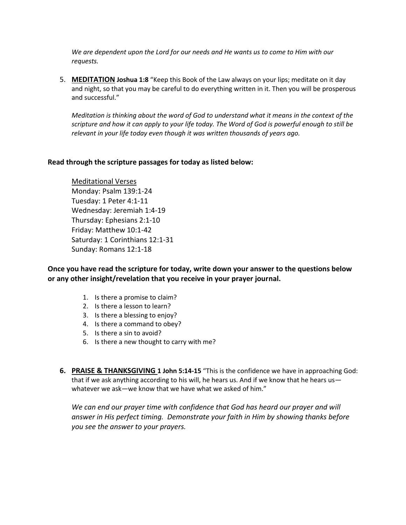*We are dependent upon the Lord for our needs and He wants us to come to Him with our requests.*

5. **MEDITATION Joshua 1:8** "Keep this Book of the Law always on your lips; meditate on it day and night, so that you may be careful to do everything written in it. Then you will be prosperous and successful."

*Meditation is thinking about the word of God to understand what it means in the context of the scripture and how it can apply to your life today. The Word of God is powerful enough to still be relevant in your life today even though it was written thousands of years ago.*

### **Read through the scripture passages for today as listed below:**

Meditational Verses Monday: Psalm 139:1-24 Tuesday: 1 Peter 4:1-11 Wednesday: Jeremiah 1:4-19 Thursday: Ephesians 2:1-10 Friday: Matthew 10:1-42 Saturday: 1 Corinthians 12:1-31 Sunday: Romans 12:1-18

**Once you have read the scripture for today, write down your answer to the questions below or any other insight/revelation that you receive in your prayer journal.** 

- 1. Is there a promise to claim?
- 2. Is there a lesson to learn?
- 3. Is there a blessing to enjoy?
- 4. Is there a command to obey?
- 5. Is there a sin to avoid?
- 6. Is there a new thought to carry with me?
- **6. PRAISE & THANKSGIVING 1 John 5:14-15** "This is the confidence we have in approaching God: that if we ask anything according to his will, he hears us. And if we know that he hears us whatever we ask—we know that we have what we asked of him."

We can end our prayer time with confidence that God has heard our prayer and will *answer in His perfect timing. Demonstrate your faith in Him by showing thanks before you see the answer to your prayers.*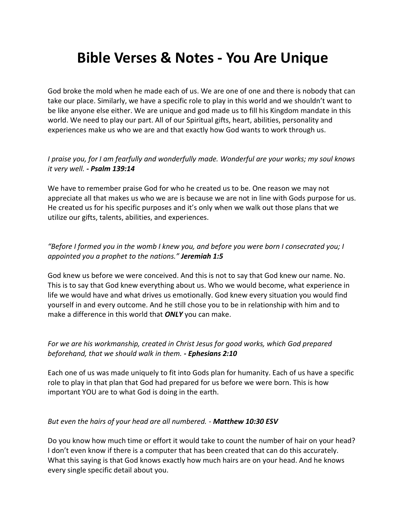# **Bible Verses & Notes - You Are Unique**

God broke the mold when he made each of us. We are one of one and there is nobody that can take our place. Similarly, we have a specific role to play in this world and we shouldn't want to be like anyone else either. We are unique and god made us to fill his Kingdom mandate in this world. We need to play our part. All of our Spiritual gifts, heart, abilities, personality and experiences make us who we are and that exactly how God wants to work through us.

## *I praise you, for I am fearfully and wonderfully made. Wonderful are your works; my soul knows it very well. - Psalm 139:14*

We have to remember praise God for who he created us to be. One reason we may not appreciate all that makes us who we are is because we are not in line with Gods purpose for us. He created us for his specific purposes and it's only when we walk out those plans that we utilize our gifts, talents, abilities, and experiences.

## *"Before I formed you in the womb I knew you, and before you were born I consecrated you; I appointed you a prophet to the nations." Jeremiah 1:5*

God knew us before we were conceived. And this is not to say that God knew our name. No. This is to say that God knew everything about us. Who we would become, what experience in life we would have and what drives us emotionally. God knew every situation you would find yourself in and every outcome. And he still chose you to be in relationship with him and to make a difference in this world that *ONLY* you can make.

## *For we are his workmanship, created in Christ Jesus for good works, which God prepared beforehand, that we should walk in them. - Ephesians 2:10*

Each one of us was made uniquely to fit into Gods plan for humanity. Each of us have a specific role to play in that plan that God had prepared for us before we were born. This is how important YOU are to what God is doing in the earth.

### *But even the hairs of your head are all numbered. - Matthew 10:30 ESV*

Do you know how much time or effort it would take to count the number of hair on your head? I don't even know if there is a computer that has been created that can do this accurately. What this saying is that God knows exactly how much hairs are on your head. And he knows every single specific detail about you.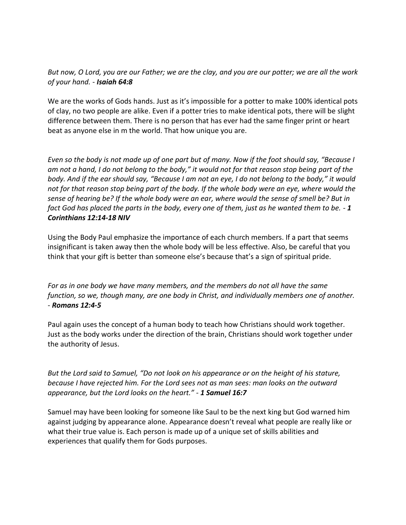## *But now, O Lord, you are our Father; we are the clay, and you are our potter; we are all the work of your hand. - Isaiah 64:8*

We are the works of Gods hands. Just as it's impossible for a potter to make 100% identical pots of clay, no two people are alike. Even if a potter tries to make identical pots, there will be slight difference between them. There is no person that has ever had the same finger print or heart beat as anyone else in m the world. That how unique you are.

*Even so the body is not made up of one part but of many. Now if the foot should say, "Because I am not a hand, I do not belong to the body," it would not for that reason stop being part of the body. And if the ear should say, "Because I am not an eye, I do not belong to the body," it would not for that reason stop being part of the body. If the whole body were an eye, where would the sense of hearing be? If the whole body were an ear, where would the sense of smell be? But in fact God has placed the parts in the body, every one of them, just as he wanted them to be. - 1 Corinthians 12:14-18 NIV*

Using the Body Paul emphasize the importance of each church members. If a part that seems insignificant is taken away then the whole body will be less effective. Also, be careful that you think that your gift is better than someone else's because that's a sign of spiritual pride.

*For as in one body we have many members, and the members do not all have the same function, so we, though many, are one body in Christ, and individually members one of another. - Romans 12:4-5*

Paul again uses the concept of a human body to teach how Christians should work together. Just as the body works under the direction of the brain, Christians should work together under the authority of Jesus.

*But the Lord said to Samuel, "Do not look on his appearance or on the height of his stature, because I have rejected him. For the Lord sees not as man sees: man looks on the outward appearance, but the Lord looks on the heart." - 1 Samuel 16:7*

Samuel may have been looking for someone like Saul to be the next king but God warned him against judging by appearance alone. Appearance doesn't reveal what people are really like or what their true value is. Each person is made up of a unique set of skills abilities and experiences that qualify them for Gods purposes.